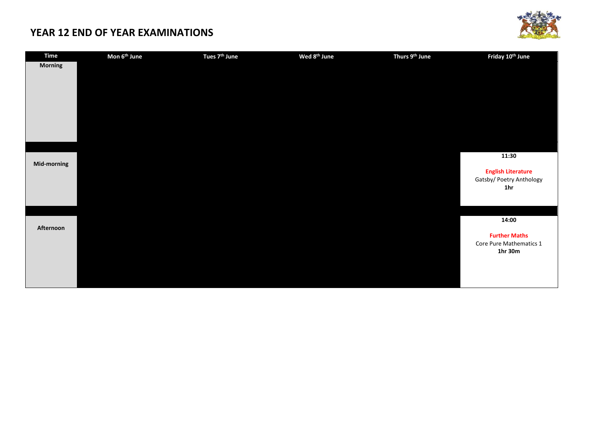

| <b>Time</b>    | Mon 6 <sup>th</sup> June | Tues 7 <sup>th</sup> June | Wed 8 <sup>th</sup> June | Thurs 9th June | Friday 10 <sup>th</sup> June                          |
|----------------|--------------------------|---------------------------|--------------------------|----------------|-------------------------------------------------------|
| <b>Morning</b> |                          |                           |                          |                |                                                       |
|                |                          |                           |                          |                |                                                       |
|                |                          |                           |                          |                |                                                       |
|                |                          |                           |                          |                |                                                       |
|                |                          |                           |                          |                |                                                       |
|                |                          |                           |                          |                |                                                       |
|                |                          |                           |                          |                |                                                       |
|                |                          |                           |                          |                |                                                       |
|                |                          |                           |                          |                |                                                       |
|                |                          |                           |                          |                | 11:30                                                 |
| Mid-morning    |                          |                           |                          |                |                                                       |
|                |                          |                           |                          |                | <b>English Literature</b><br>Gatsby/ Poetry Anthology |
|                |                          |                           |                          |                | 1 <sub>hr</sub>                                       |
|                |                          |                           |                          |                |                                                       |
|                |                          |                           |                          |                |                                                       |
|                |                          |                           |                          |                | 14:00                                                 |
| Afternoon      |                          |                           |                          |                |                                                       |
|                |                          |                           |                          |                | <b>Further Maths</b>                                  |
|                |                          |                           |                          |                | Core Pure Mathematics 1                               |
|                |                          |                           |                          |                | 1hr 30m                                               |
|                |                          |                           |                          |                |                                                       |
|                |                          |                           |                          |                |                                                       |
|                |                          |                           |                          |                |                                                       |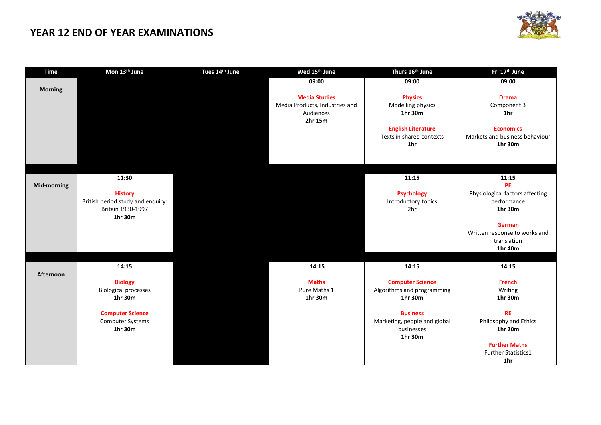

| <b>Time</b>      | Mon 13th June                     | Tues 14th June | Wed 15th June                  | Thurs 16th June                                       | Fri 17th June                                      |
|------------------|-----------------------------------|----------------|--------------------------------|-------------------------------------------------------|----------------------------------------------------|
|                  |                                   |                | 09:00                          | 09:00                                                 | 09:00                                              |
| <b>Morning</b>   |                                   |                |                                |                                                       |                                                    |
|                  |                                   |                | <b>Media Studies</b>           | <b>Physics</b>                                        | <b>Drama</b>                                       |
|                  |                                   |                | Media Products, Industries and | Modelling physics                                     | Component 3                                        |
|                  |                                   |                | Audiences                      | 1hr 30m                                               | 1 <sub>hr</sub>                                    |
|                  |                                   |                | 2hr 15m                        |                                                       |                                                    |
|                  |                                   |                |                                | <b>English Literature</b><br>Texts in shared contexts | <b>Economics</b><br>Markets and business behaviour |
|                  |                                   |                |                                | 1hr                                                   | 1hr 30m                                            |
|                  |                                   |                |                                |                                                       |                                                    |
|                  |                                   |                |                                |                                                       |                                                    |
|                  |                                   |                |                                |                                                       |                                                    |
|                  | 11:30                             |                |                                | 11:15                                                 | 11:15                                              |
| Mid-morning      |                                   |                |                                |                                                       | <b>PE</b>                                          |
|                  | <b>History</b>                    |                |                                | <b>Psychology</b>                                     | Physiological factors affecting                    |
|                  | British period study and enquiry: |                |                                | Introductory topics                                   | performance                                        |
|                  | Britain 1930-1997                 |                |                                | 2 <sub>hr</sub>                                       | 1hr 30m                                            |
|                  | 1hr 30m                           |                |                                |                                                       |                                                    |
|                  |                                   |                |                                |                                                       | <b>German</b>                                      |
|                  |                                   |                |                                |                                                       | Written response to works and                      |
|                  |                                   |                |                                |                                                       | translation                                        |
|                  |                                   |                |                                |                                                       | 1hr 40m                                            |
|                  |                                   |                |                                |                                                       |                                                    |
| <b>Afternoon</b> | 14:15                             |                | 14:15                          | 14:15                                                 | 14:15                                              |
|                  | <b>Biology</b>                    |                | <b>Maths</b>                   | <b>Computer Science</b>                               | <b>French</b>                                      |
|                  | <b>Biological processes</b>       |                | Pure Maths 1                   | Algorithms and programming                            | Writing                                            |
|                  | 1hr 30m                           |                | 1hr 30m                        | 1hr 30m                                               | 1hr 30m                                            |
|                  |                                   |                |                                |                                                       |                                                    |
|                  | <b>Computer Science</b>           |                |                                | <b>Business</b>                                       | <b>RE</b>                                          |
|                  | <b>Computer Systems</b>           |                |                                | Marketing, people and global                          | Philosophy and Ethics                              |
|                  | 1hr 30m                           |                |                                | businesses                                            | 1hr 20m                                            |
|                  |                                   |                |                                | 1hr 30m                                               |                                                    |
|                  |                                   |                |                                |                                                       | <b>Further Maths</b>                               |
|                  |                                   |                |                                |                                                       | <b>Further Statistics1</b>                         |
|                  |                                   |                |                                |                                                       | 1hr                                                |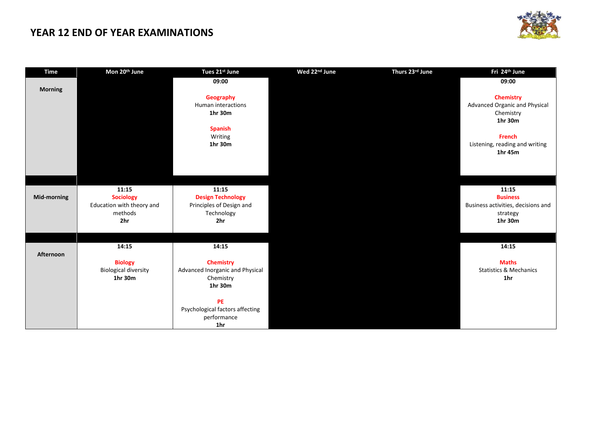

| <b>Time</b>        | Mon 20th June               | Tues 21st June                  | Wed 22 <sup>nd</sup> June | Thurs 23rd June | Fri 24th June                        |
|--------------------|-----------------------------|---------------------------------|---------------------------|-----------------|--------------------------------------|
|                    |                             | 09:00                           |                           |                 | 09:00                                |
| <b>Morning</b>     |                             |                                 |                           |                 |                                      |
|                    |                             | Geography                       |                           |                 | <b>Chemistry</b>                     |
|                    |                             | Human interactions              |                           |                 | <b>Advanced Organic and Physical</b> |
|                    |                             | 1hr 30m                         |                           |                 | Chemistry                            |
|                    |                             |                                 |                           |                 | 1hr 30m                              |
|                    |                             | <b>Spanish</b>                  |                           |                 |                                      |
|                    |                             | Writing                         |                           |                 | <b>French</b>                        |
|                    |                             | 1hr 30m                         |                           |                 | Listening, reading and writing       |
|                    |                             |                                 |                           |                 | 1hr 45m                              |
|                    |                             |                                 |                           |                 |                                      |
|                    |                             |                                 |                           |                 |                                      |
|                    |                             |                                 |                           |                 |                                      |
|                    | 11:15                       | 11:15                           |                           |                 | 11:15                                |
| <b>Mid-morning</b> | <b>Sociology</b>            | <b>Design Technology</b>        |                           |                 | <b>Business</b>                      |
|                    | Education with theory and   | Principles of Design and        |                           |                 | Business activities, decisions and   |
|                    | methods                     | Technology                      |                           |                 | strategy                             |
|                    | 2hr                         | 2 <sub>hr</sub>                 |                           |                 | 1hr 30m                              |
|                    |                             |                                 |                           |                 |                                      |
|                    |                             |                                 |                           |                 |                                      |
|                    | 14:15                       | 14:15                           |                           |                 | 14:15                                |
| <b>Afternoon</b>   |                             |                                 |                           |                 |                                      |
|                    | <b>Biology</b>              | <b>Chemistry</b>                |                           |                 | <b>Maths</b>                         |
|                    | <b>Biological diversity</b> | Advanced Inorganic and Physical |                           |                 | <b>Statistics &amp; Mechanics</b>    |
|                    | 1hr 30m                     | Chemistry                       |                           |                 | 1hr                                  |
|                    |                             | 1hr 30m                         |                           |                 |                                      |
|                    |                             |                                 |                           |                 |                                      |
|                    |                             | PE                              |                           |                 |                                      |
|                    |                             | Psychological factors affecting |                           |                 |                                      |
|                    |                             | performance                     |                           |                 |                                      |
|                    |                             | 1hr                             |                           |                 |                                      |